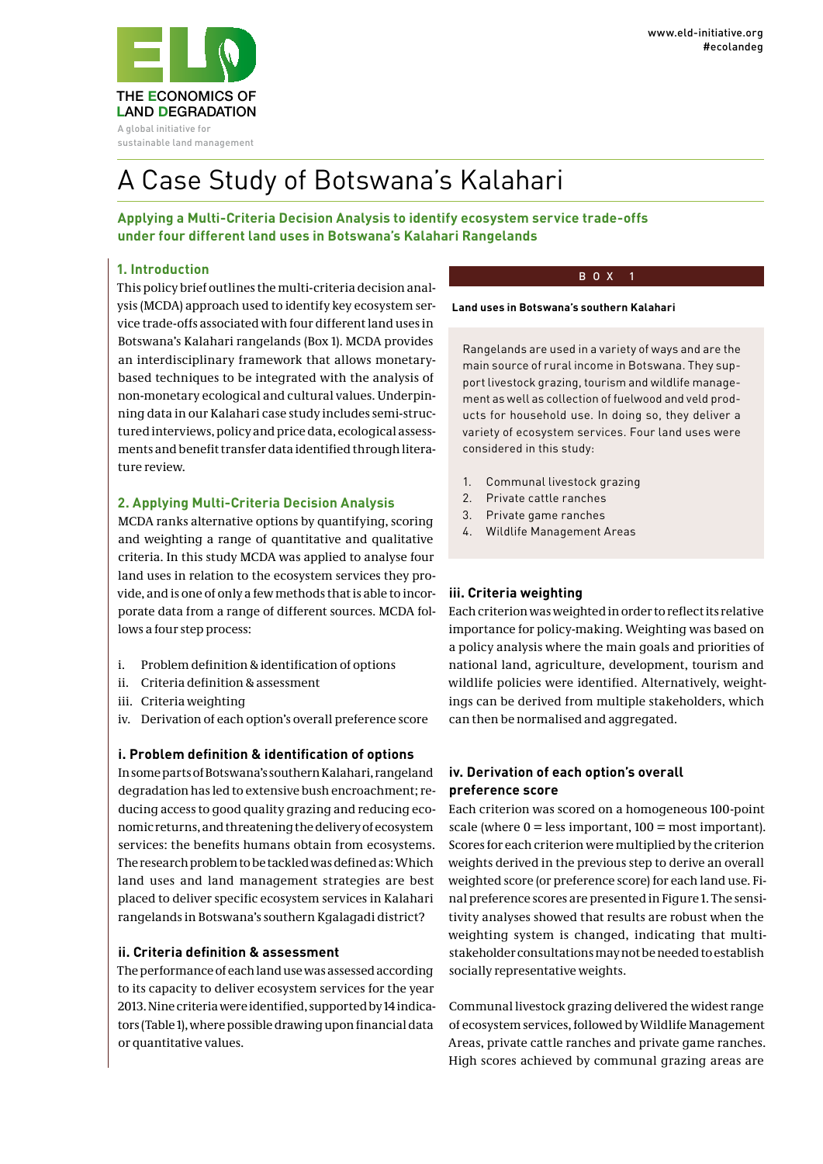sustainable land management

# A Case Study of Botswana's Kalahari

**Applying a Multi-Criteria Decision Analysis to identify ecosystem service trade-offs under four different land uses in Botswana's Kalahari Rangelands**

## **1. Introduction**

This policy brief outlines the multi-criteria decision analysis (MCDA) approach used to identify key ecosystem service trade-offs associated with four different land uses in Botswana's Kalahari rangelands (Box 1). MCDA provides an interdisciplinary framework that allows monetarybased techniques to be integrated with the analysis of non-monetary ecological and cultural values. Underpinning data in our Kalahari case study includes semi-structured interviews, policy and price data, ecological assessments and benefit transfer data identified through literature review.

## **2. Applying Multi-Criteria Decision Analysis**

MCDA ranks alternative options by quantifying, scoring and weighting a range of quantitative and qualitative criteria. In this study MCDA was applied to analyse four land uses in relation to the ecosystem services they provide, and is one of only a few methods that is able to incorporate data from a range of different sources. MCDA follows a four step process:

- i. Problem definition & identification of options
- ii. Criteria definition & assessment
- iii. Criteria weighting
- iv. Derivation of each option's overall preference score

### **i. Problem definition & identification of options**

In some parts of Botswana's southern Kalahari, rangeland degradation has led to extensive bush encroachment; reducing access to good quality grazing and reducing economic returns, and threatening the delivery of ecosystem services: the benefits humans obtain from ecosystems. The research problem to be tackled was defined as: Which land uses and land management strategies are best placed to deliver specific ecosystem services in Kalahari rangelands in Botswana's southern Kgalagadi district?

### **ii. Criteria definition & assessment**

The performance of each land use was assessed according to its capacity to deliver ecosystem services for the year 2013. Nine criteria were identified, supported by 14 indicators (Table 1), where possible drawing upon financial data or quantitative values.

#### BOX 1

#### **Land uses in Botswana's southern Kalahari**

Rangelands are used in a variety of ways and are the main source of rural income in Botswana. They support livestock grazing, tourism and wildlife management as well as collection of fuelwood and veld products for household use. In doing so, they deliver a variety of ecosystem services. Four land uses were considered in this study:

- 1. Communal livestock grazing
- 2. Private cattle ranches
- 3. Private game ranches
- 4. Wildlife Management Areas

### **iii. Criteria weighting**

Each criterion was weighted in order to reflect its relative importance for policy-making. Weighting was based on a policy analysis where the main goals and priorities of national land, agriculture, development, tourism and wildlife policies were identified. Alternatively, weightings can be derived from multiple stakeholders, which can then be normalised and aggregated.

### **iv. Derivation of each option's overall preference score**

Each criterion was scored on a homogeneous 100-point scale (where  $0 =$  less important,  $100 =$  most important). Scores for each criterion were multiplied by the criterion weights derived in the previous step to derive an overall weighted score (or preference score) for each land use. Final preference scores are presented in Figure 1. The sensitivity analyses showed that results are robust when the weighting system is changed, indicating that multistakeholder consultations may not be needed to establish socially representative weights.

Communal livestock grazing delivered the widest range of ecosystem services, followed by Wildlife Management Areas, private cattle ranches and private game ranches. High scores achieved by communal grazing areas are